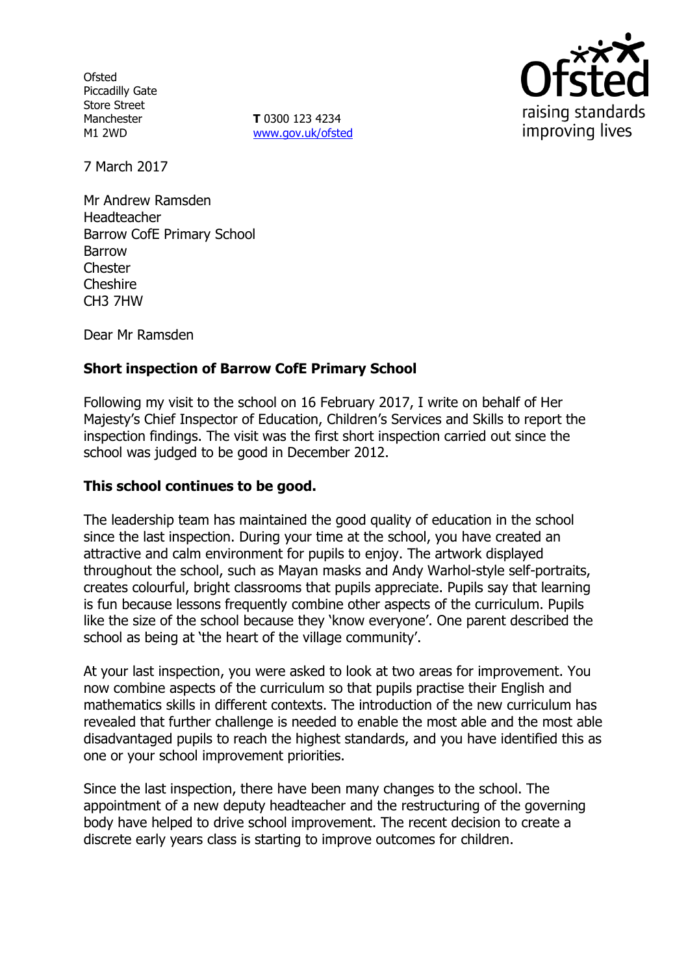**Ofsted** Piccadilly Gate Store Street Manchester M1 2WD

**T** 0300 123 4234 www.gov.uk/ofsted



7 March 2017

Mr Andrew Ramsden Headteacher Barrow CofE Primary School Barrow **Chester** Cheshire CH3 7HW

Dear Mr Ramsden

# **Short inspection of Barrow CofE Primary School**

Following my visit to the school on 16 February 2017, I write on behalf of Her Majesty's Chief Inspector of Education, Children's Services and Skills to report the inspection findings. The visit was the first short inspection carried out since the school was judged to be good in December 2012.

### **This school continues to be good.**

The leadership team has maintained the good quality of education in the school since the last inspection. During your time at the school, you have created an attractive and calm environment for pupils to enjoy. The artwork displayed throughout the school, such as Mayan masks and Andy Warhol-style self-portraits, creates colourful, bright classrooms that pupils appreciate. Pupils say that learning is fun because lessons frequently combine other aspects of the curriculum. Pupils like the size of the school because they 'know everyone'. One parent described the school as being at 'the heart of the village community'.

At your last inspection, you were asked to look at two areas for improvement. You now combine aspects of the curriculum so that pupils practise their English and mathematics skills in different contexts. The introduction of the new curriculum has revealed that further challenge is needed to enable the most able and the most able disadvantaged pupils to reach the highest standards, and you have identified this as one or your school improvement priorities.

Since the last inspection, there have been many changes to the school. The appointment of a new deputy headteacher and the restructuring of the governing body have helped to drive school improvement. The recent decision to create a discrete early years class is starting to improve outcomes for children.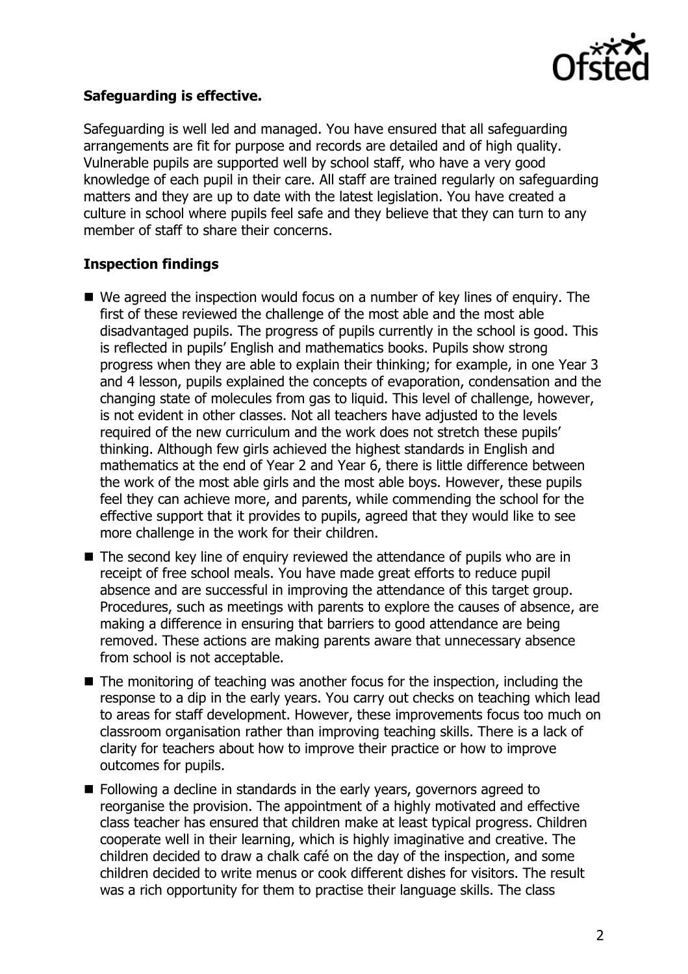

### **Safeguarding is effective.**

Safeguarding is well led and managed. You have ensured that all safeguarding arrangements are fit for purpose and records are detailed and of high quality. Vulnerable pupils are supported well by school staff, who have a very good knowledge of each pupil in their care. All staff are trained regularly on safeguarding matters and they are up to date with the latest legislation. You have created a culture in school where pupils feel safe and they believe that they can turn to any member of staff to share their concerns.

### **Inspection findings**

- We agreed the inspection would focus on a number of key lines of enguiry. The first of these reviewed the challenge of the most able and the most able disadvantaged pupils. The progress of pupils currently in the school is good. This is reflected in pupils' English and mathematics books. Pupils show strong progress when they are able to explain their thinking; for example, in one Year 3 and 4 lesson, pupils explained the concepts of evaporation, condensation and the changing state of molecules from gas to liquid. This level of challenge, however, is not evident in other classes. Not all teachers have adjusted to the levels required of the new curriculum and the work does not stretch these pupils' thinking. Although few girls achieved the highest standards in English and mathematics at the end of Year 2 and Year 6, there is little difference between the work of the most able girls and the most able boys. However, these pupils feel they can achieve more, and parents, while commending the school for the effective support that it provides to pupils, agreed that they would like to see more challenge in the work for their children.
- The second key line of enquiry reviewed the attendance of pupils who are in receipt of free school meals. You have made great efforts to reduce pupil absence and are successful in improving the attendance of this target group. Procedures, such as meetings with parents to explore the causes of absence, are making a difference in ensuring that barriers to good attendance are being removed. These actions are making parents aware that unnecessary absence from school is not acceptable.
- $\blacksquare$  The monitoring of teaching was another focus for the inspection, including the response to a dip in the early years. You carry out checks on teaching which lead to areas for staff development. However, these improvements focus too much on classroom organisation rather than improving teaching skills. There is a lack of clarity for teachers about how to improve their practice or how to improve outcomes for pupils.
- Following a decline in standards in the early years, governors agreed to reorganise the provision. The appointment of a highly motivated and effective class teacher has ensured that children make at least typical progress. Children cooperate well in their learning, which is highly imaginative and creative. The children decided to draw a chalk café on the day of the inspection, and some children decided to write menus or cook different dishes for visitors. The result was a rich opportunity for them to practise their language skills. The class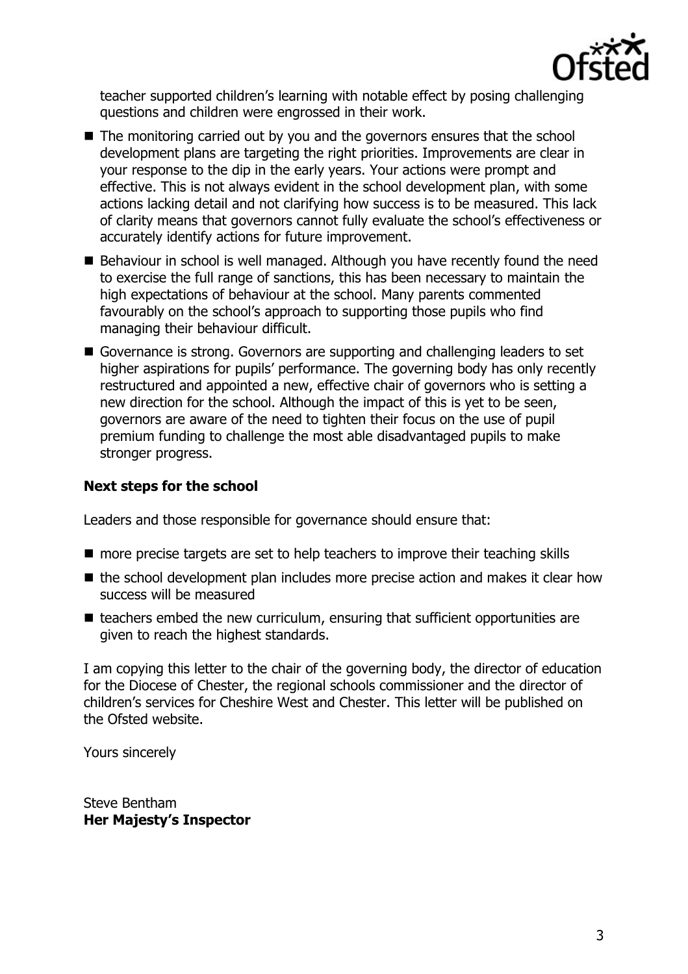

teacher supported children's learning with notable effect by posing challenging questions and children were engrossed in their work.

- The monitoring carried out by you and the governors ensures that the school development plans are targeting the right priorities. Improvements are clear in your response to the dip in the early years. Your actions were prompt and effective. This is not always evident in the school development plan, with some actions lacking detail and not clarifying how success is to be measured. This lack of clarity means that governors cannot fully evaluate the school's effectiveness or accurately identify actions for future improvement.
- Behaviour in school is well managed. Although you have recently found the need to exercise the full range of sanctions, this has been necessary to maintain the high expectations of behaviour at the school. Many parents commented favourably on the school's approach to supporting those pupils who find managing their behaviour difficult.
- Governance is strong. Governors are supporting and challenging leaders to set higher aspirations for pupils' performance. The governing body has only recently restructured and appointed a new, effective chair of governors who is setting a new direction for the school. Although the impact of this is yet to be seen, governors are aware of the need to tighten their focus on the use of pupil premium funding to challenge the most able disadvantaged pupils to make stronger progress.

# **Next steps for the school**

Leaders and those responsible for governance should ensure that:

- more precise targets are set to help teachers to improve their teaching skills
- $\blacksquare$  the school development plan includes more precise action and makes it clear how success will be measured
- $\blacksquare$  teachers embed the new curriculum, ensuring that sufficient opportunities are given to reach the highest standards.

I am copying this letter to the chair of the governing body, the director of education for the Diocese of Chester, the regional schools commissioner and the director of children's services for Cheshire West and Chester. This letter will be published on the Ofsted website.

Yours sincerely

Steve Bentham **Her Majesty's Inspector**